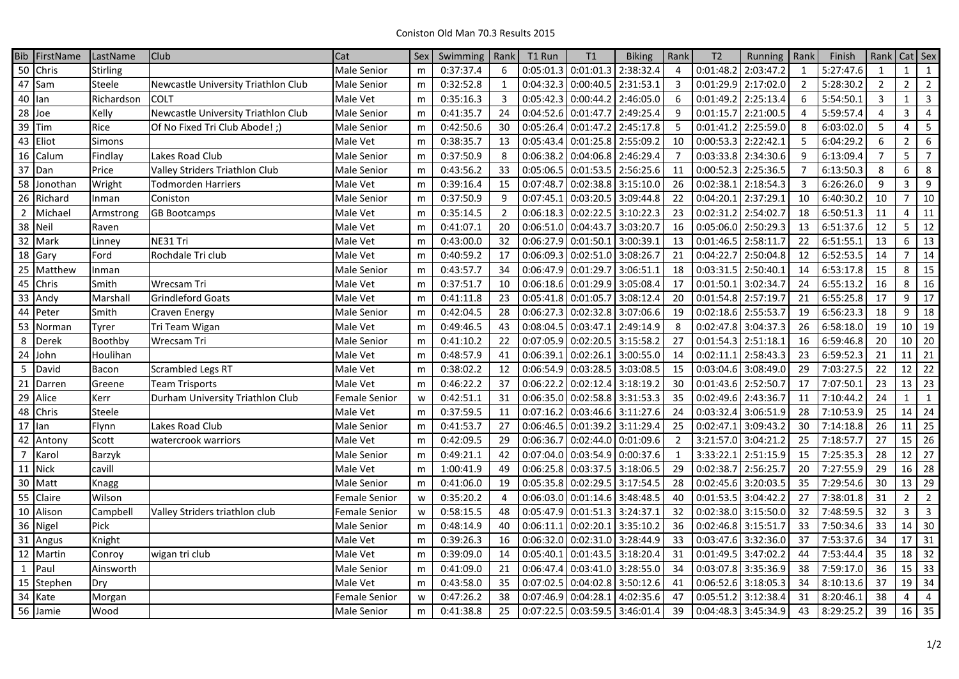| <b>Bib</b>      | FirstName             | LastName   | <b>Club</b>                         | Cat                | Sex | Swimming  | Rank           | T1 Run                          | T1                  | <b>Biking</b> | Rank           | T2                  | Running   | Rank           | Finish                 | Rank            | $Cat$ Sex       |                |
|-----------------|-----------------------|------------|-------------------------------------|--------------------|-----|-----------|----------------|---------------------------------|---------------------|---------------|----------------|---------------------|-----------|----------------|------------------------|-----------------|-----------------|----------------|
| 50              | Chris                 | Stirling   |                                     | Male Senior        | m   | 0:37:37.4 | 6              | 0:05:01.3                       | 0:01:01.3           | 2:38:32.4     | 4              | 0:01:48.2           | 2:03:47.2 | 1              | 5:27:47.6              | 1               | $\mathbf{1}$    | $\mathbf{1}$   |
|                 | 47 Sam                | Steele     | Newcastle University Triathlon Club | <b>Male Senior</b> | m   | 0:32:52.8 | $\mathbf{1}$   | 0:04:32.3                       | 0:00:40.5           | 2:31:53.1     | 3              | 0:01:29.9           | 2:17:02.0 | $\overline{2}$ | 5:28:30.2              | $\overline{2}$  | $\overline{2}$  | $\overline{2}$ |
| 40              | llan                  | Richardson | <b>COLT</b>                         | Male Vet           | m   | 0:35:16.3 | $\overline{3}$ | 0:05:42.3                       | 0:00:44.2           | 2:46:05.0     | 6              | 0:01:49.2           | 2:25:13.4 | 6              | 5:54:50.1              | $\overline{3}$  | $\mathbf{1}$    | $\overline{3}$ |
| 28              | Joe                   | Kelly      | Newcastle University Triathlon Club | <b>Male Senior</b> | m   | 0:41:35.7 | 24             | 0:04:52.6                       | 0:01:47.7           | 2:49:25.4     | 9              | 0:01:15.7           | 2:21:00.5 | $\overline{4}$ | 5:59:57.4              | $\overline{4}$  | $\overline{3}$  | $\overline{4}$ |
| 39              | Tim                   | Rice       | Of No Fixed Tri Club Abode!;        | Male Senior        | m   | 0:42:50.6 | 30             | 0:05:26.4                       | 0:01:47.2           | 2:45:17.8     | 5              | 0:01:41.2           | 2:25:59.0 | 8              | 6:03:02.0              | 5               | 4               | 5              |
| 43              | Eliot                 | Simons     |                                     | Male Vet           | m   | 0:38:35.7 | 13             | 0:05:43.4                       | 0:01:25.8           | 2:55:09.2     | 10             | 0:00:53.3           | 2:22:42.1 | 5              | 6:04:29.2              | 6               | $\overline{2}$  | 6              |
| 16              | Calum                 | Findlay    | Lakes Road Club                     | Male Senior        | m   | 0:37:50.9 | 8              | 0:06:38.2                       | 0:04:06.8           | 2:46:29.4     | $\overline{7}$ | 0:03:33.8           | 2:34:30.6 | q              | 6:13:09.4              | $\overline{7}$  | 5               | $\overline{7}$ |
| 37              | Dan                   | Price      | Valley Striders Triathlon Club      | Male Senior        | m   | 0:43:56.2 | 33             | 0:05:06.5                       | 0:01:53.5 2:56:25.6 |               | 11             | 0:00:52.3           | 2:25:36.5 | $\overline{7}$ | 6:13:50.3              | 8               | 6               | 8              |
| 58              | Jonothan              | Wright     | Todmorden Harriers                  | Male Vet           | m   | 0:39:16.4 | 15             | 0:07:48.7                       | 0:02:38.8           | 3:15:10.0     | 26             | 0:02:38.2           | 2:18:54.3 | 3              | 6:26:26.0              | 9               | 3               | 9              |
| 26              | Richard               | Inman      | Coniston                            | Male Senior        | m   | 0:37:50.9 | 9              | 0:07:45.1                       | 0:03:20.5           | 3:09:44.8     | 22             | 0:04:20.1           | 2:37:29.1 | 10             | 6:40:30.2              | 10              | $\overline{7}$  | 10             |
| $\overline{2}$  | Michael               | Armstrong  | <b>GB Bootcamps</b>                 | Male Vet           | m   | 0:35:14.5 | $\overline{2}$ | 0:06:18.3                       | 0:02:22.5           | 3:10:22.3     | 23             | 0:02:31.2           | 2:54:02.7 | 18             | 6:50:51.3              | 11              | 4               | 11             |
| 38              | Neil                  | Raven      |                                     | Male Vet           | m   | 0:41:07.1 | 20             | 0:06:51.0                       | 0:04:43.7           | 3:03:20.7     | 16             | 0:05:06.0           | 2:50:29.3 | 13             | 6:51:37.6              | 12              | 5               | 12             |
| $\overline{32}$ | Mark                  | Linney     | NE31 Tri                            | Male Vet           | m   | 0:43:00.0 | 32             | 0:06:27.9                       | 0:01:50.1           | 3:00:39.1     | 13             | 0:01:46.5           | 2:58:11.7 | 22             | 6:51:55.1              | 13              | 6               | 13             |
| 18              | Gary                  | Ford       | Rochdale Tri club                   | Male Vet           | m   | 0:40:59.2 | 17             | 0:06:09.3                       | 0:02:51.0           | 3:08:26.7     | 21             | 0:04:22.7           | 2:50:04.8 | 12             | 6:52:53.5              | 14              |                 | 14             |
| 25              | Matthew               | Inman      |                                     | Male Senior        | m   | 0:43:57.7 | 34             | 0:06:47.9                       | 0:01:29.7           | 3:06:51.1     | 18             | 0:03:31.5           | 2:50:40.1 | 14             | 6:53:17.8              | 15              | 8               | 15             |
| 45              | Chris                 | Smith      | Wrecsam Tri                         | Male Vet           | m   | 0:37:51.7 | 10             | 0:06:18.6                       | 0:01:29.9           | 3:05:08.4     | 17             | 0:01:50.1           | 3:02:34.7 | 24             | 6:55:13.2              | 16              | 8               | 16             |
| 33              | Andy                  | Marshall   | <b>Grindleford Goats</b>            | Male Vet           | m   | 0:41:11.8 | 23             | 0:05:41.8                       | 0:01:05.7           | 3:08:12.4     | 20             | 0:01:54.8           | 2:57:19.7 | 21             | 6:55:25.8              | 17              | 9               | 17             |
|                 | 44 Peter              | Smith      | Craven Energy                       | <b>Male Senior</b> | m   | 0:42:04.5 | 28             | 0:06:27.3                       | 0:02:32.8           | 3:07:06.6     | 19             | 0:02:18.6           | 2:55:53.7 | 19             | 6:56:23.3              | 18              | 9               | 18             |
| 53              | Norman                | Tyrer      | Tri Team Wigan                      | Male Vet           | m   | 0:49:46.5 | 43             | 0:08:04.5                       | 0:03:47.1           | 2:49:14.9     | 8              | 0:02:47.8           | 3:04:37.3 | 26             | 6:58:18.0              | 19              | 10 <sup>1</sup> | 19             |
| 8               | Derek                 | Boothby    | Wrecsam Tri                         | Male Senior        | m   | 0:41:10.2 | 22             | 0:07:05.9                       | 0:02:20.5           | 3:15:58.2     | 27             | 0:01:54.3           | 2:51:18.1 | 16             | 6:59:46.8              | 20              |                 | $10 \mid 20$   |
| 24              | John                  | Houlihan   |                                     | Male Vet           | m   | 0:48:57.9 | 41             | 0:06:39.1                       | 0:02:26.1           | 3:00:55.0     | 14             | 0:02:11.1           | 2:58:43.3 | 23             | 6:59:52.3              | 21              |                 | $11$ 21        |
| 5               | David                 | Bacon      | Scrambled Legs RT                   | Male Vet           | m   | 0:38:02.2 | 12             | 0:06:54.9                       | 0:03:28.5           | 3:03:08.5     | 15             | 0:03:04.6           | 3:08:49.0 | 29             | 7:03:27.5              | 22              |                 | $12 \mid 22$   |
| 21              | Darren                | Greene     | <b>Team Trisports</b>               | Male Vet           | m   | 0:46:22.2 | 37             | 0:06:22.2                       | 0:02:12.4           | 3:18:19.2     | 30             | 0:01:43.6           | 2:52:50.7 | 17             | 7:07:50.1              | 23              |                 | 13 23          |
| $\overline{29}$ | Alice                 | Kerr       | Durham University Triathlon Club    | Female Senior      | W   | 0:42:51.1 | 31             | 0:06:35.0                       | 0:02:58.8 3:31:53.3 |               | 35             | 0:02:49.6           | 2:43:36.7 | 11             | 7:10:44.2              | $\overline{24}$ | $\mathbf{1}$    | $\mathbf{1}$   |
|                 | 48 Chris              | Steele     |                                     | Male Vet           | m   | 0:37:59.5 | 11             | 0:07:16.2                       | 0:03:46.6 3:11:27.6 |               | 24             | 0:03:32.4           | 3:06:51.9 | 28             | 7:10:53.9              | 25              |                 | 14 24          |
| 17              | llan                  | Flynn      | Lakes Road Club                     | <b>Male Senior</b> | m   | 0:41:53.7 | 27             | 0:06:46.5                       | 0:01:39.2           | 3:11:29.4     | 25             | 0:02:47.1           | 3:09:43.2 | 30             | 7:14:18.8              | 26              | 11              | 25             |
| 42              | Antony                | Scott      | watercrook warriors                 | Male Vet           | m   | 0:42:09.5 | 29             | 0:06:36.7                       | 0:02:44.0           | 0:01:09.6     | $\overline{2}$ | 3:21:57.0           | 3:04:21.2 | 25             | 7:18:57.7              | 27              |                 | $15 \mid 26$   |
| $\overline{7}$  | Karol                 | Barzyk     |                                     | Male Senior        | m   | 0:49:21.1 | 42             | 0:07:04.0                       | 0:03:54.9           | 0:00:37.6     | $\mathbf{1}$   | 3:33:22.1           | 2:51:15.9 | 15             | $7:25:35.\overline{3}$ | 28              |                 | $12 \mid 27$   |
| 11              | <b>Nick</b>           | cavill     |                                     | Male Vet           | m   | 1:00:41.9 | 49             | 0:06:25.8                       | 0:03:37.5 3:18:06.5 |               | 29             | 0:02:38.7           | 2:56:25.7 | 20             | 7:27:55.9              | 29              |                 | $16$ 28        |
| 30              | Matt                  | Knagg      |                                     | Male Senior        | m   | 0:41:06.0 | 19             | 0:05:35.8                       | 0:02:29.5 3:17:54.5 |               | 28             | 0:02:45.6           | 3:20:03.5 | 35             | 7:29:54.6              | $30\,$          |                 | $13 \mid 29$   |
| 55              | Claire                | Wilson     |                                     | Female Senior      | W   | 0:35:20.2 | $\overline{4}$ | 0:06:03.0                       | 0:01:14.6 3:48:48.5 |               | 40             | 0:01:53.5           | 3:04:42.2 | 27             | 7:38:01.8              | 31              | $\overline{2}$  | $\overline{2}$ |
| 10              | Alison                | Campbell   | Valley Striders triathlon club      | Female Senior      | W   | 0:58:15.5 | 48             | 0:05:47.9                       | 0:01:51.3           | 3:24:37.1     | 32             | 0:02:38.0           | 3:15:50.0 | 32             | 7:48:59.5              | $\overline{32}$ | 3               | $\overline{3}$ |
|                 | 36 Nigel              | Pick       |                                     | Male Senior        | m   | 0:48:14.9 | 40             | 0:06:11.1                       | 0:02:20.1           | 3:35:10.2     | 36             | 0:02:46.8           | 3:15:51.7 | 33             | 7:50:34.6              | 33              |                 | 14 30          |
|                 | $\overline{31}$ Angus | Knight     |                                     | Male Vet           | m   | 0:39:26.3 | 16             | 0:06:32.0                       | 0:02:31.0           | 3:28:44.9     | 33             | 0:03:47.6           | 3:32:36.0 | 37             | 7:53:37.6              | $\overline{34}$ |                 | $17$ 31        |
| 12              | Martin                | Conroy     | wigan tri club                      | Male Vet           | m   | 0:39:09.0 | 14             | 0:05:40.1                       | 0:01:43.5           | 3:18:20.4     | 31             | 0:01:49.5           | 3:47:02.2 | 44             | 7:53:44.4              | 35              |                 | $18$   32      |
| $\mathbf{1}$    | Paul                  | Ainsworth  |                                     | Male Senior        | m   | 0:41:09.0 | 21             | 0:06:47.4                       | 0:03:41.0           | 3:28:55.0     | 34             | 0:03:07.8           | 3:35:36.9 | 38             | 7:59:17.0              | 36              |                 | $15 \mid 33$   |
|                 | 15 Stephen            | Dry        |                                     | Male Vet           | m   | 0:43:58.0 | 35             | 0:07:02.5                       | 0:04:02.8           | 3:50:12.6     | 41             | 0:06:52.6           | 3:18:05.3 | 34             | 8:10:13.6              | 37              |                 | $19$ 34        |
| 34              | Kate                  | Morgan     |                                     | Female Senior      | W   | 0:47:26.2 | 38             | 0:07:46.9                       | 0:04:28.1           | 4:02:35.6     | 47             | 0:05:51.2           | 3:12:38.4 | 31             | 8:20:46.1              | 38              | 4               | 4              |
|                 | 56 Jamie              | Wood       |                                     | <b>Male Senior</b> | m   | 0:41:38.8 | 25             | $0:07:22.5$ 0:03:59.5 3:46:01.4 |                     |               | 39             | 0:04:48.3 3:45:34.9 |           | 43             | 8:29:25.2              | 39              |                 | $16$ 35        |